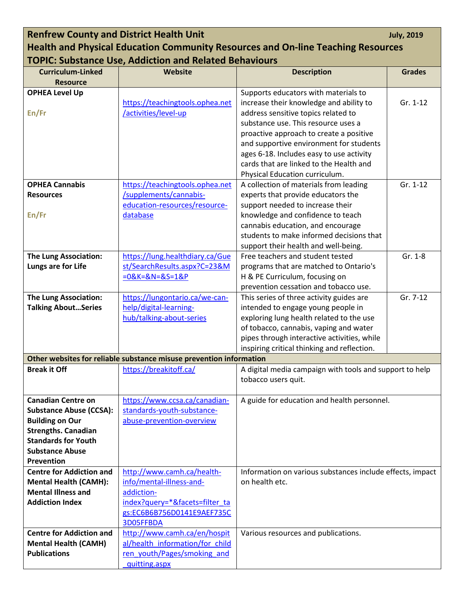## **Renfrew County and District Health Unit <b>All and Strict Health Unit** *July, 2019* **Health and Physical Education Community Resources and On-line Teaching Resources TOPIC: Substance Use, Addiction and Related Behaviours**

| <b>Curriculum-Linked</b>        | Website                                                             | <b>Description</b>                                        | <b>Grades</b> |
|---------------------------------|---------------------------------------------------------------------|-----------------------------------------------------------|---------------|
| <b>Resource</b>                 |                                                                     |                                                           |               |
| <b>OPHEA Level Up</b>           |                                                                     | Supports educators with materials to                      |               |
|                                 | https://teachingtools.ophea.net                                     | increase their knowledge and ability to                   | Gr. 1-12      |
| En/Fr                           | /activities/level-up                                                | address sensitive topics related to                       |               |
|                                 |                                                                     | substance use. This resource uses a                       |               |
|                                 |                                                                     | proactive approach to create a positive                   |               |
|                                 |                                                                     | and supportive environment for students                   |               |
|                                 |                                                                     | ages 6-18. Includes easy to use activity                  |               |
|                                 |                                                                     | cards that are linked to the Health and                   |               |
|                                 |                                                                     | Physical Education curriculum.                            |               |
| <b>OPHEA Cannabis</b>           | https://teachingtools.ophea.net                                     | A collection of materials from leading                    | Gr. 1-12      |
| <b>Resources</b>                | /supplements/cannabis-                                              | experts that provide educators the                        |               |
|                                 | education-resources/resource-                                       | support needed to increase their                          |               |
| En/Fr                           | database                                                            | knowledge and confidence to teach                         |               |
|                                 |                                                                     | cannabis education, and encourage                         |               |
|                                 |                                                                     | students to make informed decisions that                  |               |
|                                 |                                                                     | support their health and well-being.                      |               |
| <b>The Lung Association:</b>    | https://lung.healthdiary.ca/Gue                                     | Free teachers and student tested                          | Gr. 1-8       |
| Lungs are for Life              | st/SearchResults.aspx?C=23&M                                        | programs that are matched to Ontario's                    |               |
|                                 | $=0&K=&N=&S=1&P$                                                    | H & PE Curriculum, focusing on                            |               |
|                                 |                                                                     | prevention cessation and tobacco use.                     |               |
| <b>The Lung Association:</b>    | https://lungontario.ca/we-can-                                      | This series of three activity guides are                  | Gr. 7-12      |
| <b>Talking AboutSeries</b>      | help/digital-learning-                                              | intended to engage young people in                        |               |
|                                 | hub/talking-about-series                                            | exploring lung health related to the use                  |               |
|                                 |                                                                     | of tobacco, cannabis, vaping and water                    |               |
|                                 |                                                                     | pipes through interactive activities, while               |               |
|                                 |                                                                     | inspiring critical thinking and reflection.               |               |
|                                 | Other websites for reliable substance misuse prevention information |                                                           |               |
| <b>Break it Off</b>             | https://breakitoff.ca/                                              | A digital media campaign with tools and support to help   |               |
|                                 |                                                                     | tobacco users quit.                                       |               |
|                                 |                                                                     |                                                           |               |
| <b>Canadian Centre on</b>       | https://www.ccsa.ca/canadian-                                       | A guide for education and health personnel.               |               |
| <b>Substance Abuse (CCSA):</b>  | standards-youth-substance-                                          |                                                           |               |
| <b>Building on Our</b>          | abuse-prevention-overview                                           |                                                           |               |
| <b>Strengths. Canadian</b>      |                                                                     |                                                           |               |
| <b>Standards for Youth</b>      |                                                                     |                                                           |               |
| <b>Substance Abuse</b>          |                                                                     |                                                           |               |
| <b>Prevention</b>               |                                                                     |                                                           |               |
| <b>Centre for Addiction and</b> | http://www.camh.ca/health-                                          | Information on various substances include effects, impact |               |
| <b>Mental Health (CAMH):</b>    | info/mental-illness-and-                                            | on health etc.                                            |               |
| <b>Mental Illness and</b>       | addiction-                                                          |                                                           |               |
| <b>Addiction Index</b>          | index?query=*&facets=filter_ta                                      |                                                           |               |
|                                 | gs:EC6B6B756D0141E9AEF735C                                          |                                                           |               |
|                                 | 3D05FFBDA                                                           |                                                           |               |
| <b>Centre for Addiction and</b> | http://www.camh.ca/en/hospit                                        | Various resources and publications.                       |               |
| <b>Mental Health (CAMH)</b>     | al/health information/for child                                     |                                                           |               |
| <b>Publications</b>             | ren youth/Pages/smoking and                                         |                                                           |               |
|                                 | quitting.aspx                                                       |                                                           |               |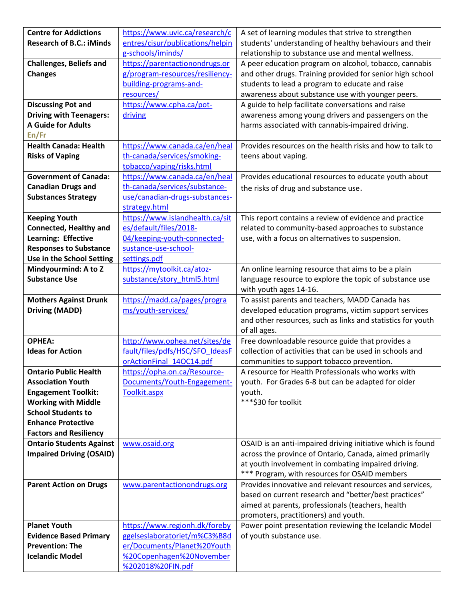| <b>Centre for Addictions</b>    | https://www.uvic.ca/research/c   | A set of learning modules that strive to strengthen         |  |
|---------------------------------|----------------------------------|-------------------------------------------------------------|--|
| <b>Research of B.C.: iMinds</b> | entres/cisur/publications/helpin | students' understanding of healthy behaviours and their     |  |
|                                 | g-schools/iminds/                | relationship to substance use and mental wellness.          |  |
| <b>Challenges, Beliefs and</b>  | https://parentactionondrugs.or   | A peer education program on alcohol, tobacco, cannabis      |  |
| <b>Changes</b>                  | g/program-resources/resiliency-  | and other drugs. Training provided for senior high school   |  |
|                                 | building-programs-and-           | students to lead a program to educate and raise             |  |
|                                 | resources/                       | awareness about substance use with younger peers.           |  |
| <b>Discussing Pot and</b>       | https://www.cpha.ca/pot-         | A guide to help facilitate conversations and raise          |  |
| <b>Driving with Teenagers:</b>  | driving                          | awareness among young drivers and passengers on the         |  |
| <b>A Guide for Adults</b>       |                                  | harms associated with cannabis-impaired driving.            |  |
| En/Fr                           |                                  |                                                             |  |
| <b>Health Canada: Health</b>    | https://www.canada.ca/en/heal    | Provides resources on the health risks and how to talk to   |  |
| <b>Risks of Vaping</b>          | th-canada/services/smoking-      | teens about vaping.                                         |  |
|                                 | tobacco/vaping/risks.html        |                                                             |  |
| <b>Government of Canada:</b>    | https://www.canada.ca/en/heal    | Provides educational resources to educate youth about       |  |
| <b>Canadian Drugs and</b>       | th-canada/services/substance-    | the risks of drug and substance use.                        |  |
| <b>Substances Strategy</b>      | use/canadian-drugs-substances-   |                                                             |  |
|                                 | strategy.html                    |                                                             |  |
| <b>Keeping Youth</b>            | https://www.islandhealth.ca/sit  | This report contains a review of evidence and practice      |  |
| <b>Connected, Healthy and</b>   | es/default/files/2018-           | related to community-based approaches to substance          |  |
| Learning: Effective             | 04/keeping-youth-connected-      | use, with a focus on alternatives to suspension.            |  |
| <b>Responses to Substance</b>   | sustance-use-school-             |                                                             |  |
| Use in the School Setting       | settings.pdf                     |                                                             |  |
| Mindyourmind: A to Z            | https://mytoolkit.ca/atoz-       | An online learning resource that aims to be a plain         |  |
| <b>Substance Use</b>            | substance/story_html5.html       | language resource to explore the topic of substance use     |  |
|                                 |                                  | with youth ages 14-16.                                      |  |
| <b>Mothers Against Drunk</b>    | https://madd.ca/pages/progra     | To assist parents and teachers, MADD Canada has             |  |
| <b>Driving (MADD)</b>           | ms/youth-services/               | developed education programs, victim support services       |  |
|                                 |                                  | and other resources, such as links and statistics for youth |  |
|                                 |                                  | of all ages.                                                |  |
| <b>OPHEA:</b>                   | http://www.ophea.net/sites/de    | Free downloadable resource guide that provides a            |  |
| <b>Ideas for Action</b>         | fault/files/pdfs/HSC/SFO IdeasF  | collection of activities that can be used in schools and    |  |
|                                 | orActionFinal_14OC14.pdf         | communities to support tobacco prevention.                  |  |
| <b>Ontario Public Health</b>    | https://opha.on.ca/Resource-     | A resource for Health Professionals who works with          |  |
| <b>Association Youth</b>        | Documents/Youth-Engagement-      | youth. For Grades 6-8 but can be adapted for older          |  |
| <b>Engagement Toolkit:</b>      | Toolkit.aspx                     | youth.                                                      |  |
| <b>Working with Middle</b>      |                                  | *** \$30 for toolkit                                        |  |
| <b>School Students to</b>       |                                  |                                                             |  |
| <b>Enhance Protective</b>       |                                  |                                                             |  |
| <b>Factors and Resiliency</b>   |                                  |                                                             |  |
| <b>Ontario Students Against</b> | www.osaid.org                    | OSAID is an anti-impaired driving initiative which is found |  |
| <b>Impaired Driving (OSAID)</b> |                                  | across the province of Ontario, Canada, aimed primarily     |  |
|                                 |                                  | at youth involvement in combating impaired driving.         |  |
|                                 |                                  | *** Program, with resources for OSAID members               |  |
| <b>Parent Action on Drugs</b>   | www.parentactionondrugs.org      | Provides innovative and relevant resources and services,    |  |
|                                 |                                  | based on current research and "better/best practices"       |  |
|                                 |                                  |                                                             |  |
|                                 |                                  | aimed at parents, professionals (teachers, health           |  |
|                                 |                                  | promoters, practitioners) and youth.                        |  |
| <b>Planet Youth</b>             | https://www.regionh.dk/foreby    | Power point presentation reviewing the Icelandic Model      |  |
| <b>Evidence Based Primary</b>   | ggelseslaboratoriet/m%C3%B8d     | of youth substance use.                                     |  |
| <b>Prevention: The</b>          | er/Documents/Planet%20Youth      |                                                             |  |
| <b>Icelandic Model</b>          | %20Copenhagen%20November         |                                                             |  |
|                                 | %202018%20FIN.pdf                |                                                             |  |